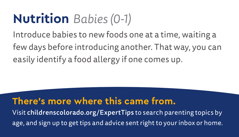### **Nutrition** *Babies (0-1)*

Introduce babies to new foods one at a time, waiting a few days before introducing another. That way, you can easily identify a food allergy if one comes up.

#### **There's more where this came from.**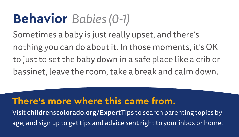### **Behavior** *Babies (0-1)*

Sometimes a baby is just really upset, and there's nothing you can do about it. In those moments, it's OK to just to set the baby down in a safe place like a crib or bassinet, leave the room, take a break and calm down.

#### **There's more where this came from.**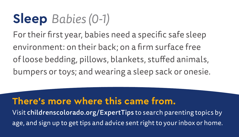### **Sleep** *Babies (0-1)*

For their first year, babies need a specific safe sleep environment: on their back; on a firm surface free of loose bedding, pillows, blankets, stuffed animals, bumpers or toys; and wearing a sleep sack or onesie.

#### **There's more where this came from.**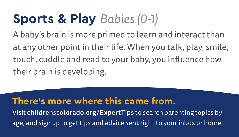## **Sports & Play** *Babies (0-1)*

A baby's brain is more primed to learn and interact than at any other point in their life. When you talk, play, smile, touch, cuddle and read to your baby, you influence how their brain is developing.

#### **There's more where this came from.**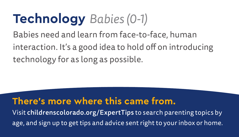# **Technology** *Babies (0-1)*

Babies need and learn from face-to-face, human interaction. It's a good idea to hold off on introducing technology for as long as possible.

#### **There's more where this came from.**